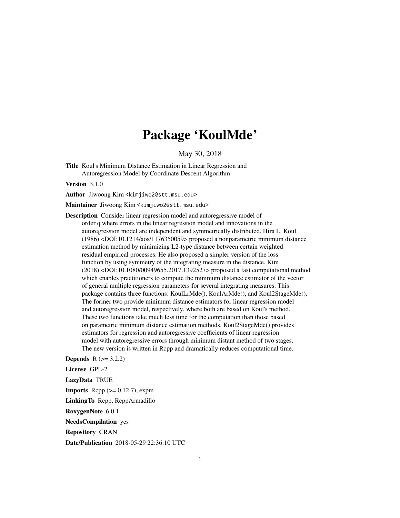## Package 'KoulMde'

May 30, 2018

Title Koul's Minimum Distance Estimation in Linear Regression and Autoregression Model by Coordinate Descent Algorithm

Version 3.1.0

Author Jiwoong Kim <kimjiwo2@stt.msu.edu>

Maintainer Jiwoong Kim <kimjiwo2@stt.msu.edu>

Description Consider linear regression model and autoregressive model of order q where errors in the linear regression model and innovations in the autoregression model are independent and symmetrically distributed. Hira L. Koul (1986) <DOI:10.1214/aos/1176350059> proposed a nonparametric minimum distance estimation method by minimizing L2-type distance between certain weighted residual empirical processes. He also proposed a simpler version of the loss function by using symmetry of the integrating measure in the distance. Kim (2018) <DOI:10.1080/00949655.2017.1392527> proposed a fast computational method which enables practitioners to compute the minimum distance estimator of the vector of general multiple regression parameters for several integrating measures. This package contains three functions: KoulLrMde(), KoulArMde(), and Koul2StageMde(). The former two provide minimum distance estimators for linear regression model and autoregression model, respectively, where both are based on Koul's method. These two functions take much less time for the computation than those based on parametric minimum distance estimation methods. Koul2StageMde() provides estimators for regression and autoregressive coefficients of linear regression model with autoregressive errors through minimum distant method of two stages. The new version is written in Rcpp and dramatically reduces computational time.

**Depends**  $R$  ( $> = 3.2.2$ )

License GPL-2 LazyData TRUE **Imports** Rcpp  $(>= 0.12.7)$ , expm LinkingTo Rcpp, RcppArmadillo RoxygenNote 6.0.1 NeedsCompilation yes

Repository CRAN

Date/Publication 2018-05-29 22:36:10 UTC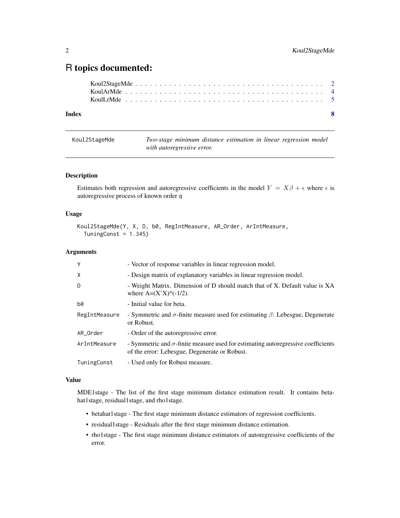### <span id="page-1-0"></span>R topics documented:

| Index | - 8 |
|-------|-----|
|       |     |
|       |     |
|       |     |

Koul2StageMde *Two-stage minimum distance estimation in linear regression model with autoregressive error.*

#### Description

Estimates both regression and autoregressive coefficients in the model  $Y = X\beta + \epsilon$  where  $\epsilon$  is autoregressive process of known order q

#### Usage

```
Koul2StageMde(Y, X, D, b0, RegIntMeasure, AR_Order, ArIntMeasure,
  TuningConst = 1.345)
```
#### Arguments

| Y             | - Vector of response variables in linear regression model.                                                                                |
|---------------|-------------------------------------------------------------------------------------------------------------------------------------------|
| X             | - Design matrix of explanatory variables in linear regression model.                                                                      |
| D             | - Weight Matrix. Dimension of D should match that of X. Default value is XA<br>where $A=(X'X)$ <sup><math>\wedge</math></sup> (-1/2).     |
| b0            | - Initial value for beta.                                                                                                                 |
| RegIntMeasure | - Symmetric and $\sigma$ -finite measure used for estimating $\beta$ : Lebesgue, Degenerate<br>or Robust.                                 |
| AR Order      | - Order of the autoregressive error.                                                                                                      |
| ArIntMeasure  | - Symmetric and $\sigma$ -finite measure used for estimating autoregressive coefficients<br>of the error: Lebesgue, Degenerate or Robust. |
| TuningConst   | - Used only for Robust measure.                                                                                                           |

#### Value

MDE1stage - The list of the first stage minimum distance estimation result. It contains betahat1stage, residual1stage, and rho1stage.

- betahat1stage The first stage minimum distance estimators of regression coefficients.
- residual1stage Residuals after the first stage minimum distance estimation.
- rho1stage The first stage minimum distance estimators of autoregressive coefficients of the error.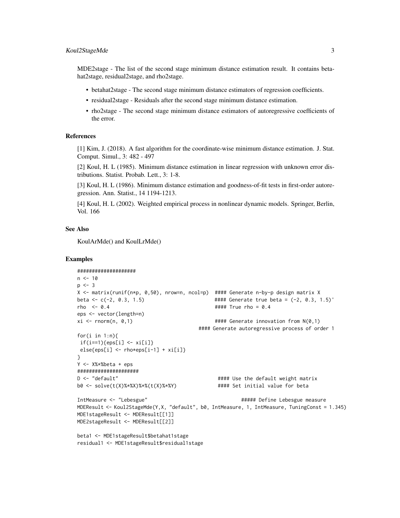#### Koul2StageMde 3

MDE2stage - The list of the second stage minimum distance estimation result. It contains betahat2stage, residual2stage, and rho2stage.

- betahat2stage The second stage minimum distance estimators of regression coefficients.
- residual2stage Residuals after the second stage minimum distance estimation.
- rho2stage The second stage minimum distance estimators of autoregressive coefficients of the error.

#### References

[1] Kim, J. (2018). A fast algorithm for the coordinate-wise minimum distance estimation. J. Stat. Comput. Simul., 3: 482 - 497

[2] Koul, H. L (1985). Minimum distance estimation in linear regression with unknown error distributions. Statist. Probab. Lett., 3: 1-8.

[3] Koul, H. L (1986). Minimum distance estimation and goodness-of-fit tests in first-order autoregression. Ann. Statist., 14 1194-1213.

[4] Koul, H. L (2002). Weighted empirical process in nonlinear dynamic models. Springer, Berlin, Vol. 166

#### See Also

KoulArMde() and KoulLrMde()

#### Examples

```
####################
n < -10p \le -3X <- matrix(runif(n*p, 0,50), nrow=n, ncol=p) #### Generate n-by-p design matrix X
beta <- c(-2, 0.3, 1.5) #### Generate true beta = (-2, 0.3, 1.5)'
rho <- 0.4 #### True rho = 0.4
eps <- vector(length=n)
xi <- rnorm(n, 0,1) #### Generate innovation from N(0,1)
                                                #### Generate autoregressive process of order 1
for(i in 1:n){
 if(i==1){eps[i] \leftarrow xi[i]}else{eps[i] <- rho*eps[i-1] + xi[i]}
}
Y <- X%*%beta + eps
#####################
D <- "default" \blacksquare = \blacksquare + \blacksquare = \blacksquare + \blacksquare = \blacksquare + \blacksquare = \blacksquare + \blacksquare = \blacksquare = \blacksquare + \blacksquare = \blacksquare + \blacksquare = \blacksquare + \blacksquare = \blacksquare + \blacksquare + \blacksquare + \blacksquare + \blacksquare + \blacksquare + \blacksquare + 
b0 <- solve(t(X)%*%X)%*%(t(X)%*%Y) #### Set initial value for beta
IntMeasure <- "Lebesgue" ##### Define Lebesgue measure
MDEResult <- Koul2StageMde(Y,X, "default", b0, IntMeasure, 1, IntMeasure, TuningConst = 1.345)
MDE1stageResult <- MDEResult[[1]]
MDE2stageResult <- MDEResult[[2]]
beta1 <- MDE1stageResult$betahat1stage
residual1 <- MDE1stageResult$residual1stage
```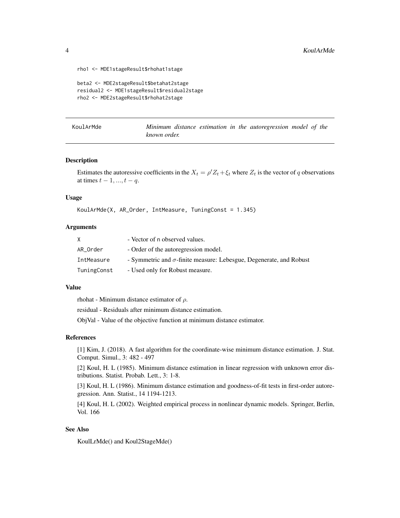```
rho1 <- MDE1stageResult$rhohat1stage
```

```
beta2 <- MDE2stageResult$betahat2stage
residual2 <- MDE1stageResult$residual2stage
rho2 <- MDE2stageResult$rhohat2stage
```

| KoulArMde |              |  |  | Minimum distance estimation in the autoregression model of the |  |  |
|-----------|--------------|--|--|----------------------------------------------------------------|--|--|
|           | known order. |  |  |                                                                |  |  |

#### Description

Estimates the autoressive coefficients in the  $X_t = \rho' Z_t + \xi_t$  where  $Z_t$  is the vector of q observations at times  $t - 1, ..., t - q$ .

#### Usage

```
KoulArMde(X, AR_Order, IntMeasure, TuningConst = 1.345)
```
#### Arguments

|             | - Vector of n observed values.                                             |
|-------------|----------------------------------------------------------------------------|
| AR Order    | - Order of the autoregression model.                                       |
| IntMeasure  | - Symmetric and $\sigma$ -finite measure: Lebesgue, Degenerate, and Robust |
| TuningConst | - Used only for Robust measure.                                            |

#### Value

rhohat - Minimum distance estimator of  $\rho$ .

residual - Residuals after minimum distance estimation.

ObjVal - Value of the objective function at minimum distance estimator.

#### References

[1] Kim, J. (2018). A fast algorithm for the coordinate-wise minimum distance estimation. J. Stat. Comput. Simul., 3: 482 - 497

[2] Koul, H. L (1985). Minimum distance estimation in linear regression with unknown error distributions. Statist. Probab. Lett., 3: 1-8.

[3] Koul, H. L (1986). Minimum distance estimation and goodness-of-fit tests in first-order autoregression. Ann. Statist., 14 1194-1213.

[4] Koul, H. L (2002). Weighted empirical process in nonlinear dynamic models. Springer, Berlin, Vol. 166

#### See Also

KoulLrMde() and Koul2StageMde()

<span id="page-3-0"></span>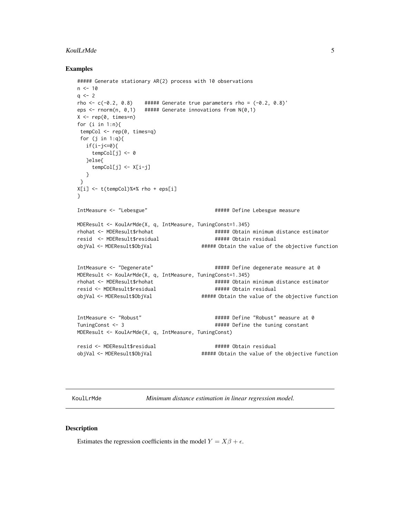#### <span id="page-4-0"></span>KoulLrMde 5

#### Examples

```
##### Generate stationary AR(2) process with 10 observations
n < -10q \leq -2rho \leq c(-0.2, 0.8) ##### Generate true parameters rho = (-0.2, 0.8)'
eps \le rnorm(n, 0,1) ##### Generate innovations from N(0,1)
X \leq -\text{rep}(\emptyset, \text{times=n})for (i in 1:n){
 tempCol <- rep(0, times=q)
 for (j in 1:q){
  if(i-j<=0){
     tempCol[j] <- 0
   }else{
     tempCol[j] <- X[i-j]
   }
 }
X[i] <- t(tempCol)%*% rho + eps[i]
}
IntMeasure <- "Lebesgue" ##### Define Lebesgue measure
MDEResult <- KoulArMde(X, q, IntMeasure, TuningConst=1.345)
rhohat <- MDEResult$rhohat ##### Obtain minimum distance estimator
resid <- MDEResult$residual ###### Obtain residual
objVal <- MDEResult$ObjVal ###### Obtain the value of the objective function
IntMeasure <- "Degenerate" ##### Define degenerate measure at 0
MDEResult <- KoulArMde(X, q, IntMeasure, TuningConst=1.345)
rhohat <- MDEResult$rhohat ###### Obtain minimum distance estimator
resid <- MDEResult$residual ##### Obtain residual
objVal <- MDEResult$ObjVal ##### Obtain the value of the objective function
IntMeasure <- "Robust" ##### Define "Robust" measure at 0
TuningConst <- 3 \overline{a} + \overline{a} + \overline{a} + \overline{a} + \overline{a} + \overline{a} + \overline{a} + \overline{a} + \overline{a} + \overline{a} + \overline{a} + \overline{a} + \overline{a} + \overline{a} + \overline{a} + \overline{a} + \overline{a} + \overline{a} + \overline{a}MDEResult <- KoulArMde(X, q, IntMeasure, TuningConst)
resid <- MDEResult$residual ###### Obtain residual
objVal <- MDEResult$ObjVal ##### Obtain the value of the objective function
```
KoulLrMde *Minimum distance estimation in linear regression model.*

#### Description

Estimates the regression coefficients in the model  $Y = X\beta + \epsilon$ .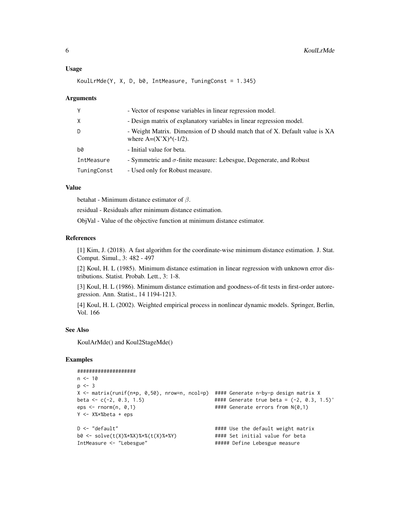#### Usage

KoulLrMde(Y, X, D, b0, IntMeasure, TuningConst = 1.345)

#### Arguments

| γ           | - Vector of response variables in linear regression model.                                                                            |
|-------------|---------------------------------------------------------------------------------------------------------------------------------------|
| X           | - Design matrix of explanatory variables in linear regression model.                                                                  |
| D           | - Weight Matrix. Dimension of D should match that of X. Default value is XA<br>where $A=(X'X)$ <sup><math>\wedge</math></sup> (-1/2). |
| b0          | - Initial value for beta.                                                                                                             |
| IntMeasure  | - Symmetric and $\sigma$ -finite measure: Lebesgue, Degenerate, and Robust                                                            |
| TuningConst | - Used only for Robust measure.                                                                                                       |

#### Value

betahat - Minimum distance estimator of  $\beta$ .

residual - Residuals after minimum distance estimation.

ObjVal - Value of the objective function at minimum distance estimator.

#### References

[1] Kim, J. (2018). A fast algorithm for the coordinate-wise minimum distance estimation. J. Stat. Comput. Simul., 3: 482 - 497

[2] Koul, H. L (1985). Minimum distance estimation in linear regression with unknown error distributions. Statist. Probab. Lett., 3: 1-8.

[3] Koul, H. L (1986). Minimum distance estimation and goodness-of-fit tests in first-order autoregression. Ann. Statist., 14 1194-1213.

[4] Koul, H. L (2002). Weighted empirical process in nonlinear dynamic models. Springer, Berlin, Vol. 166

#### See Also

KoulArMde() and Koul2StageMde()

#### Examples

```
####################
n < -10p \le -3X <- matrix(runif(n*p, 0,50), nrow=n, ncol=p) #### Generate n-by-p design matrix X
beta <- c(-2, 0.3, 1.5) #### Generate true beta = (-2, 0.3, 1.5)'
eps \le - rnorm(n, 0,1) \qquad \qquad \qquad \qquad \qquad \qquad \qquad \qquad \qquad \qquad \qquad \qquad \qquad \qquad \qquad \qquad \qquad \qquad \qquad \qquad \qquad \qquad \qquad \qquad \qquad \qquad \qquad \qquad \qquad \qquad \qquad \qquad \qquadY <- X%*%beta + eps
D <- "default" \qquad \qquad #### Use the default weight matrix
b0 <- solve(t(X)%*%X)%*%(t(X)%*%Y) #### Set initial value for beta
IntMeasure <- "Lebesgue" ##### Define Lebesgue measure
```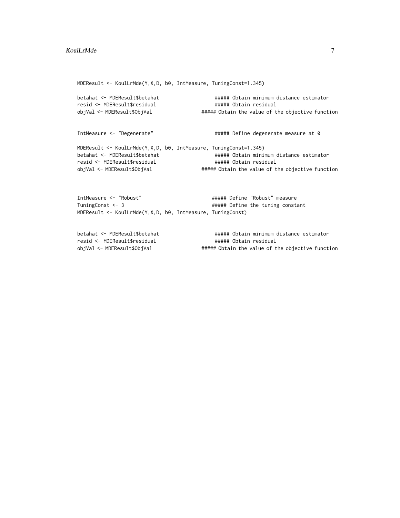MDEResult <- KoulLrMde(Y,X,D, b0, IntMeasure, TuningConst=1.345) betahat <- MDEResult\$betahat ##### Obtain minimum distance estimator resid <- MDEResult\$residual ##### Obtain residual objVal <- MDEResult\$ObjVal ##### Obtain the value of the objective function IntMeasure <- "Degenerate"  $\qquad$  ##### Define degenerate measure at 0 MDEResult <- KoulLrMde(Y,X,D, b0, IntMeasure, TuningConst=1.345) betahat <- MDEResult\$betahat ##### Obtain minimum distance estimator resid <- MDEResult\$residual ##### Obtain residual objVal <- MDEResult\$ObjVal ##### Obtain the value of the objective function IntMeasure <- "Robust" ##### Define "Robust" measure TuningConst <- 3  $\qquad$  ##### Define the tuning constant

betahat <- MDEResult\$betahat ###### Obtain minimum distance estimator resid <- MDEResult\$residual obtainated a monocality of the matrice of the matrice of the objective function<br>
esid <- MDEResult\$ObjVal **##### Obtain the value of the objective function**<br>
objVal <- MDEResult\$ObjVal **#####** Obtain the value of the objec

MDEResult <- KoulLrMde(Y,X,D, b0, IntMeasure, TuningConst)